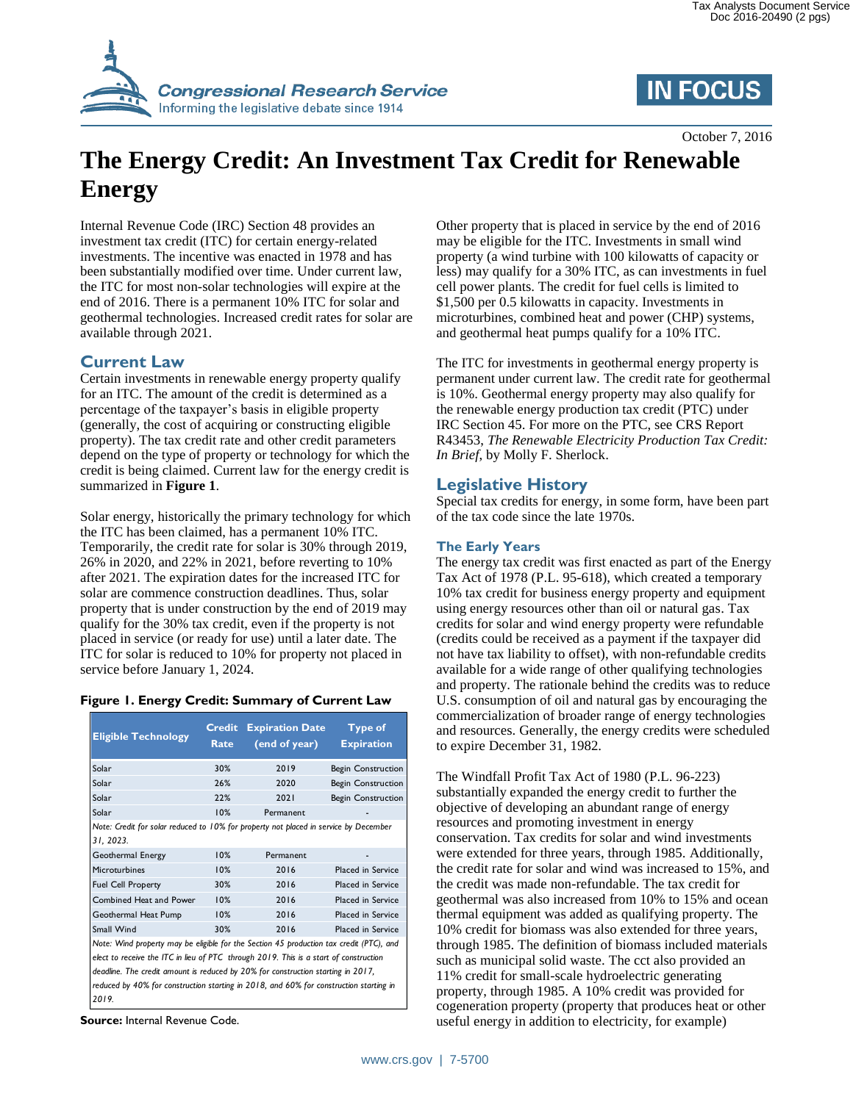



October 7, 2016

# **The Energy Credit: An Investment Tax Credit for Renewable Energy**

Internal Revenue Code (IRC) Section 48 provides an investment tax credit (ITC) for certain energy-related investments. The incentive was enacted in 1978 and has been substantially modified over time. Under current law, the ITC for most non-solar technologies will expire at the end of 2016. There is a permanent 10% ITC for solar and geothermal technologies. Increased credit rates for solar are available through 2021.

# **Current Law**

Certain investments in renewable energy property qualify for an ITC. The amount of the credit is determined as a percentage of the taxpayer's basis in eligible property (generally, the cost of acquiring or constructing eligible property). The tax credit rate and other credit parameters depend on the type of property or technology for which the credit is being claimed. Current law for the energy credit is summarized in **[Figure 1](#page-0-0)**.

Solar energy, historically the primary technology for which the ITC has been claimed, has a permanent 10% ITC. Temporarily, the credit rate for solar is 30% through 2019, 26% in 2020, and 22% in 2021, before reverting to 10% after 2021. The expiration dates for the increased ITC for solar are commence construction deadlines. Thus, solar property that is under construction by the end of 2019 may qualify for the 30% tax credit, even if the property is not placed in service (or ready for use) until a later date. The ITC for solar is reduced to 10% for property not placed in service before January 1, 2024.

#### <span id="page-0-0"></span>**Figure 1. Energy Credit: Summary of Current Law**

| <b>Eligible Technology</b>                                                                        | <b>Credit</b><br>Rate | <b>Expiration Date</b><br>(end of year) | <b>Type of</b><br><b>Expiration</b> |
|---------------------------------------------------------------------------------------------------|-----------------------|-----------------------------------------|-------------------------------------|
| Solar                                                                                             | 30%                   | 2019                                    | <b>Begin Construction</b>           |
| Solar                                                                                             | 26%                   | 2020                                    | <b>Begin Construction</b>           |
| Solar                                                                                             | 22%                   | 2021                                    | <b>Begin Construction</b>           |
| Solar                                                                                             | 10%                   | Permanent                               |                                     |
| Note: Credit for solar reduced to 10% for property not placed in service by December<br>31, 2023. |                       |                                         |                                     |
| Geothermal Energy                                                                                 | 10%                   | Permanent                               |                                     |
| Microturbines                                                                                     | 10%                   | 2016                                    | <b>Placed in Service</b>            |
| <b>Fuel Cell Property</b>                                                                         | 30%                   | 2016                                    | <b>Placed in Service</b>            |
| Combined Heat and Power                                                                           | 10%                   | 2016                                    | <b>Placed in Service</b>            |
| Geothermal Heat Pump                                                                              | 10%                   | 2016                                    | <b>Placed in Service</b>            |
| Small Wind                                                                                        | 30%                   | 2016                                    | <b>Placed in Service</b>            |
| Note: Wind property may be eligible for the Section 45 production tax credit (PTC), and           |                       |                                         |                                     |
| elect to receive the ITC in lieu of PTC through 2019. This is a start of construction             |                       |                                         |                                     |
| deadline. The credit amount is reduced by 20% for construction starting in 2017,                  |                       |                                         |                                     |
| reduced by 40% for construction starting in 2018, and 60% for construction starting in<br>2019    |                       |                                         |                                     |

**Source:** Internal Revenue Code.

Other property that is placed in service by the end of 2016 may be eligible for the ITC. Investments in small wind property (a wind turbine with 100 kilowatts of capacity or less) may qualify for a 30% ITC, as can investments in fuel cell power plants. The credit for fuel cells is limited to \$1,500 per 0.5 kilowatts in capacity. Investments in microturbines, combined heat and power (CHP) systems, and geothermal heat pumps qualify for a 10% ITC.

The ITC for investments in geothermal energy property is permanent under current law. The credit rate for geothermal is 10%. Geothermal energy property may also qualify for the renewable energy production tax credit (PTC) under IRC Section 45. For more on the PTC, see CRS Report R43453, *The Renewable Electricity Production Tax Credit: In Brief*, by Molly F. Sherlock.

## **Legislative History**

Special tax credits for energy, in some form, have been part of the tax code since the late 1970s.

### **The Early Years**

The energy tax credit was first enacted as part of the Energy Tax Act of 1978 (P.L. 95-618), which created a temporary 10% tax credit for business energy property and equipment using energy resources other than oil or natural gas. Tax credits for solar and wind energy property were refundable (credits could be received as a payment if the taxpayer did not have tax liability to offset), with non-refundable credits available for a wide range of other qualifying technologies and property. The rationale behind the credits was to reduce U.S. consumption of oil and natural gas by encouraging the commercialization of broader range of energy technologies and resources. Generally, the energy credits were scheduled to expire December 31, 1982.

The Windfall Profit Tax Act of 1980 (P.L. 96-223) substantially expanded the energy credit to further the objective of developing an abundant range of energy resources and promoting investment in energy conservation. Tax credits for solar and wind investments were extended for three years, through 1985. Additionally, the credit rate for solar and wind was increased to 15%, and the credit was made non-refundable. The tax credit for geothermal was also increased from 10% to 15% and ocean thermal equipment was added as qualifying property. The 10% credit for biomass was also extended for three years, through 1985. The definition of biomass included materials such as municipal solid waste. The cct also provided an 11% credit for small-scale hydroelectric generating property, through 1985. A 10% credit was provided for cogeneration property (property that produces heat or other useful energy in addition to electricity, for example)